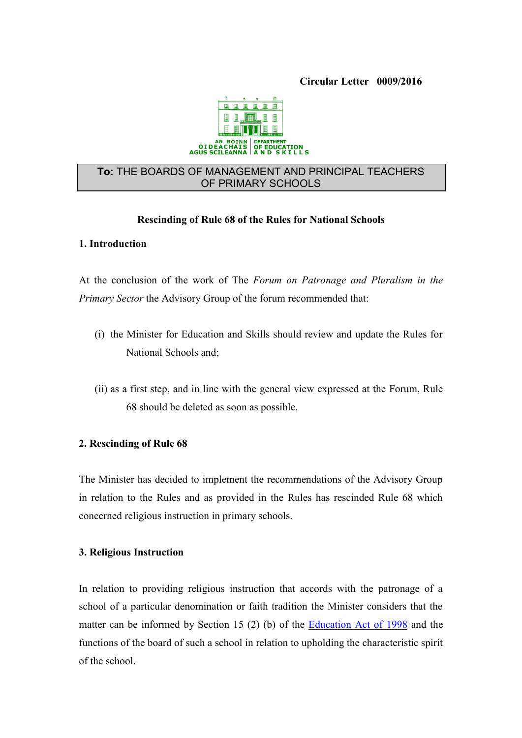

### **To:** THE BOARDS OF MANAGEMENT AND PRINCIPAL TEACHERS OF PRIMARY SCHOOLS

### **Rescinding of Rule 68 of the Rules for National Schools**

#### **1. Introduction**

At the conclusion of the work of The *Forum on Patronage and Pluralism in the Primary Sector* the Advisory Group of the forum recommended that:

- (i) the Minister for Education and Skills should review and update the Rules for National Schools and;
- (ii) as a first step, and in line with the general view expressed at the Forum, Rule 68 should be deleted as soon as possible.

### **2. Rescinding of Rule 68**

The Minister has decided to implement the recommendations of the Advisory Group in relation to the Rules and as provided in the Rules has rescinded Rule 68 which concerned religious instruction in primary schools.

### **3. Religious Instruction**

In relation to providing religious instruction that accords with the patronage of a school of a particular denomination or faith tradition the Minister considers that the matter can be informed by Section 15 (2) (b) of the [Education Act of 1998](http://www.oireachtas.ie/documents/bills28/acts/1998/a5198.pdf) and the functions of the board of such a school in relation to upholding the characteristic spirit of the school.